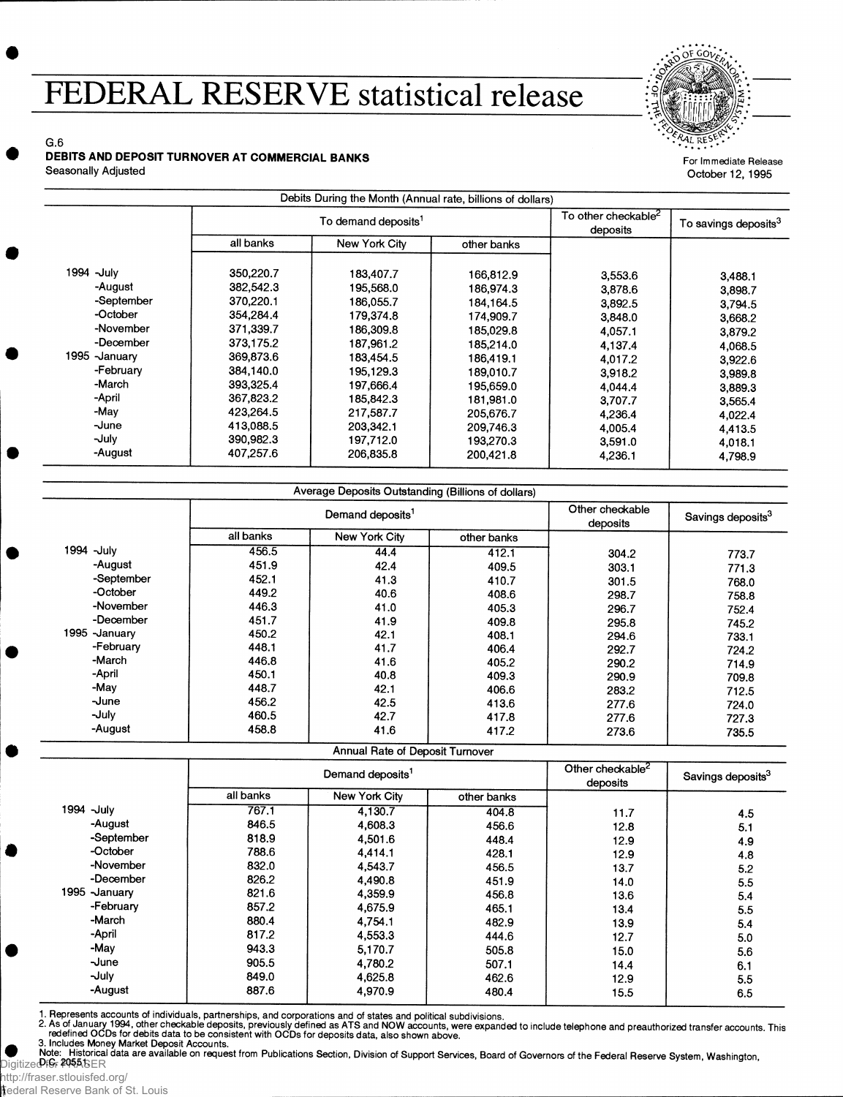## FEDERAL RESERVE statistical release



For Immediate Release October 12, 1995

G.6 **w DEBITS AND DEPOSIT TURNOVER AT COMMERCIAL BANKS** Seasonally Adjusted

|                |                                 |               | Debits During the Month (Annual rate, billions of dollars) |                                             |                                  |
|----------------|---------------------------------|---------------|------------------------------------------------------------|---------------------------------------------|----------------------------------|
|                | To demand deposits <sup>1</sup> |               |                                                            | To other checkable <sup>2</sup><br>deposits | To savings deposits <sup>3</sup> |
|                | all banks                       | New York City | other banks                                                |                                             |                                  |
|                |                                 |               |                                                            |                                             |                                  |
| 1994 -July     | 350,220.7                       | 183,407.7     | 166,812.9                                                  | 3,553.6                                     | 3,488.1                          |
| -August        | 382,542.3                       | 195,568.0     | 186.974.3                                                  | 3,878.6                                     | 3,898.7                          |
| -September     | 370,220.1                       | 186,055.7     | 184.164.5                                                  | 3,892.5                                     | 3,794.5                          |
| -October       | 354.284.4                       | 179,374.8     | 174,909.7                                                  | 3,848.0                                     | 3,668.2                          |
| -November      | 371.339.7                       | 186,309.8     | 185,029.8                                                  | 4,057.1                                     | 3,879.2                          |
| -December      | 373.175.2                       | 187,961.2     | 185,214.0                                                  | 4,137.4                                     | 4,068.5                          |
| 1995 - January | 369,873.6                       | 183.454.5     | 186.419.1                                                  | 4,017.2                                     | 3,922.6                          |
| -February      | 384,140.0                       | 195.129.3     | 189.010.7                                                  | 3,918.2                                     | 3,989.8                          |
| -March         | 393,325.4                       | 197.666.4     | 195,659.0                                                  | 4,044.4                                     | 3,889.3                          |
| -April         | 367,823.2                       | 185,842.3     | 181,981.0                                                  | 3,707.7                                     | 3,565.4                          |
| -May           | 423.264.5                       | 217,587.7     | 205,676.7                                                  | 4,236.4                                     | 4,022.4                          |
| -June          | 413.088.5                       | 203,342.1     | 209,746.3                                                  | 4,005.4                                     | 4,413.5                          |
| -July          | 390,982.3                       | 197,712.0     | 193,270.3                                                  | 3,591.0                                     | 4,018.1                          |
| -August        | 407,257.6                       | 206,835.8     | 200,421.8                                                  | 4,236.1                                     | 4,798.9                          |

|               |                              | Average Deposits Outstanding (Billions of dollars) |             |                             |                               |
|---------------|------------------------------|----------------------------------------------------|-------------|-----------------------------|-------------------------------|
|               | Demand deposits <sup>1</sup> |                                                    |             | Other checkable<br>deposits | Savings deposits <sup>3</sup> |
|               | all banks                    | New York City                                      | other banks |                             |                               |
| 1994 -July    | 456.5                        | 44.4                                               | 412.1       | 304.2                       | 773.7                         |
| -August       | 451.9                        | 42.4                                               | 409.5       | 303.1                       | 771.3                         |
| -September    | 452.1                        | 41.3                                               | 410.7       | 301.5                       | 768.0                         |
| -October      | 449.2                        | 40.6                                               | 408.6       | 298.7                       | 758.8                         |
| -November     | 446.3                        | 41.0                                               | 405.3       | 296.7                       | 752.4                         |
| -December     | 451.7                        | 41.9                                               | 409.8       | 295.8                       | 745.2                         |
| 1995 -January | 450.2                        | 42.1                                               | 408.1       | 294.6                       | 733.1                         |
| -February     | 448.1                        | 41.7                                               | 406.4       | 292.7                       | 724.2                         |
| -March        | 446.8                        | 41.6                                               | 405.2       | 290.2                       | 714.9                         |
| -April        | 450.1                        | 40.8                                               | 409.3       | 290.9                       | 709.8                         |
| -May          | 448.7                        | 42.1                                               | 406.6       | 283.2                       | 712.5                         |
| -June         | 456.2                        | 42.5                                               | 413.6       | 277.6                       | 724.0                         |
| -July         | 460.5                        | 42.7                                               | 417.8       | 277.6                       | 727.3                         |
| -August       | 458.8                        | 41.6                                               | 417.2       | 273.6                       | 735.5                         |

Annual Rate of Deposit Turnover

|                | Demand deposits <sup>1</sup> |               |             | Other checkable <sup>2</sup><br>deposits | Savings deposits <sup>3</sup> |
|----------------|------------------------------|---------------|-------------|------------------------------------------|-------------------------------|
|                | all banks                    | New York City | other banks |                                          |                               |
| 1994 -July     | 767.1                        | 4.130.7       | 404.8       | 11.7                                     | 4.5                           |
| -August        | 846.5                        | 4,608.3       | 456.6       | 12.8                                     | 5.1                           |
| -September     | 818.9                        | 4,501.6       | 448.4       | 12.9                                     | 4.9                           |
| -October       | 788.6                        | 4,414.1       | 428.1       | 12.9                                     | 4.8                           |
| -November      | 832.0                        | 4,543.7       | 456.5       | 13.7                                     | 5.2                           |
| -December      | 826.2                        | 4.490.8       | 451.9       | 14.0                                     | 5.5                           |
| 1995 - January | 821.6                        | 4.359.9       | 456.8       | 13.6                                     | 5.4                           |
| -February      | 857.2                        | 4,675.9       | 465.1       | 13.4                                     | 5.5                           |
| -March         | 880.4                        | 4,754.1       | 482.9       | 13.9                                     | 5.4                           |
| -April         | 817.2                        | 4,553.3       | 444.6       | 12.7                                     | 5.0                           |
| -May           | 943.3                        | 5.170.7       | 505.8       | 15.0                                     | 5.6                           |
| $\lnot$ une    | 905.5                        | 4,780.2       | 507.1       | 14.4                                     | 6.1                           |
| -July          | 849.0                        | 4,625.8       | 462.6       | 12.9                                     | 5.5                           |
| -August        | 887.6                        | 4,970.9       | 480.4       | 15.5                                     | 6.5                           |

1. Represents accounts of individuals, partnerships, and corporations and of states and political subdivisions.<br>2. As of January 1994, other checkable deposits, previously defined as ATS and NOW accounts, were expanded to

Unitize⊕f&r Pustorical data are available on request from Publications Section, Division of Support Services, Board of Governors of the Federal Reserve System, Washington,<br>Digitize⊕f&r 2055.SER

http://fraser.stlouisfed.org/ Federal Reserve Bank of St. Louis